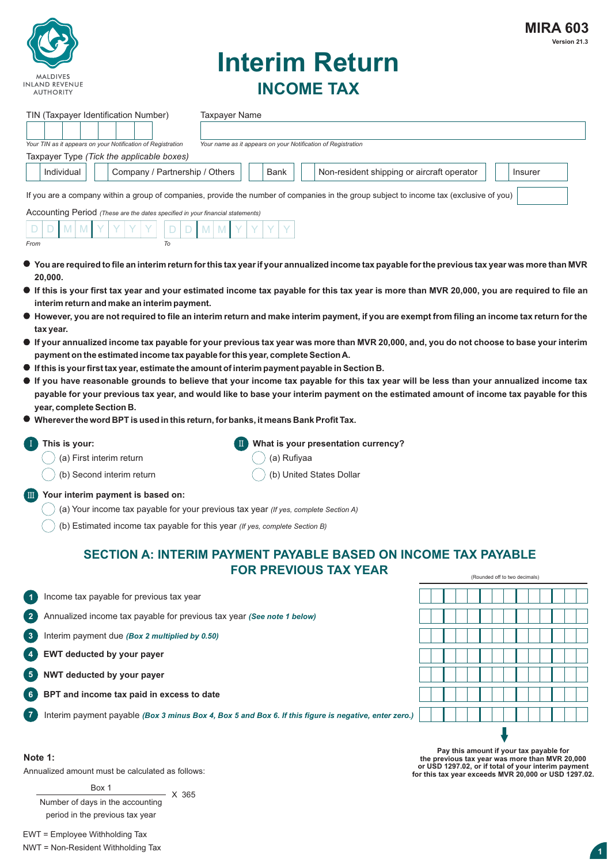

# **Interim Return INCOME TAX**

| TIN (Taxpayer Identification Number)<br><b>Taxpayer Name</b><br>Your TIN as it appears on your Notification of Registration<br>Your name as it appears on your Notification of Registration<br>Taxpayer Type (Tick the applicable boxes)<br>Individual<br>Company / Partnership / Others<br>Non-resident shipping or aircraft operator<br>Bank                                                                                                                                                                                                                                                                                                                                                                                                                                                                                                                                                                                                                                                                                                                                                                                                                                                                                                                                                     | Insurer                       |
|----------------------------------------------------------------------------------------------------------------------------------------------------------------------------------------------------------------------------------------------------------------------------------------------------------------------------------------------------------------------------------------------------------------------------------------------------------------------------------------------------------------------------------------------------------------------------------------------------------------------------------------------------------------------------------------------------------------------------------------------------------------------------------------------------------------------------------------------------------------------------------------------------------------------------------------------------------------------------------------------------------------------------------------------------------------------------------------------------------------------------------------------------------------------------------------------------------------------------------------------------------------------------------------------------|-------------------------------|
| If you are a company within a group of companies, provide the number of companies in the group subject to income tax (exclusive of you)<br>Accounting Period (These are the dates specified in your financial statements)<br>To<br>From                                                                                                                                                                                                                                                                                                                                                                                                                                                                                                                                                                                                                                                                                                                                                                                                                                                                                                                                                                                                                                                            |                               |
| $\bullet\,$ You are required to file an interim return for this tax year if your annualized income tax payable for the previous tax year was more than MVR<br>20,000.<br>If this is your first tax year and your estimated income tax payable for this tax year is more than MVR 20,000, you are required to file an<br>interim return and make an interim payment.<br>$\bullet$ However, you are not required to file an interim return and make interim payment, if you are exempt from filing an income tax return for the<br>tax year.<br>$\bullet$ If your annualized income tax payable for your previous tax year was more than MVR 20,000, and, you do not choose to base your interim<br>payment on the estimated income tax payable for this year, complete Section A.<br>$\bullet$ If this is your first tax year, estimate the amount of interim payment payable in Section B.<br>If you have reasonable grounds to believe that your income tax payable for this tax year will be less than your annualized income tax<br>payable for your previous tax year, and would like to base your interim payment on the estimated amount of income tax payable for this<br>year, complete Section B.<br>• Wherever the word BPT is used in this return, for banks, it means Bank Profit Tax. |                               |
| What is your presentation currency?<br>This is your:<br>(a) First interim return<br>(a) Rufiyaa                                                                                                                                                                                                                                                                                                                                                                                                                                                                                                                                                                                                                                                                                                                                                                                                                                                                                                                                                                                                                                                                                                                                                                                                    |                               |
| (b) Second interim return<br>(b) United States Dollar<br>Your interim payment is based on:<br><b>OUR</b><br>(a) Your income tax payable for your previous tax year (If yes, complete Section A)<br>(b) Estimated income tax payable for this year (If yes, complete Section B)                                                                                                                                                                                                                                                                                                                                                                                                                                                                                                                                                                                                                                                                                                                                                                                                                                                                                                                                                                                                                     |                               |
| <b>SECTION A: INTERIM PAYMENT PAYABLE BASED ON INCOME TAX PAYABLE</b><br><b>FOR PREVIOUS TAX YEAR</b>                                                                                                                                                                                                                                                                                                                                                                                                                                                                                                                                                                                                                                                                                                                                                                                                                                                                                                                                                                                                                                                                                                                                                                                              | (Rounded off to two decimals) |
| Income tax payable for previous tax year<br>$\blacksquare$                                                                                                                                                                                                                                                                                                                                                                                                                                                                                                                                                                                                                                                                                                                                                                                                                                                                                                                                                                                                                                                                                                                                                                                                                                         |                               |
| $\mathbf{2}$<br>Annualized income tax payable for previous tax year (See note 1 below)                                                                                                                                                                                                                                                                                                                                                                                                                                                                                                                                                                                                                                                                                                                                                                                                                                                                                                                                                                                                                                                                                                                                                                                                             |                               |
| $\overline{\mathbf{3}}$<br>Interim payment due (Box 2 multiplied by 0.50)                                                                                                                                                                                                                                                                                                                                                                                                                                                                                                                                                                                                                                                                                                                                                                                                                                                                                                                                                                                                                                                                                                                                                                                                                          |                               |
| EWT deducted by your payer<br>$\overline{4}$                                                                                                                                                                                                                                                                                                                                                                                                                                                                                                                                                                                                                                                                                                                                                                                                                                                                                                                                                                                                                                                                                                                                                                                                                                                       |                               |
| NWT deducted by your payer<br>$5^{\circ}$                                                                                                                                                                                                                                                                                                                                                                                                                                                                                                                                                                                                                                                                                                                                                                                                                                                                                                                                                                                                                                                                                                                                                                                                                                                          |                               |
| BPT and income tax paid in excess to date<br>6                                                                                                                                                                                                                                                                                                                                                                                                                                                                                                                                                                                                                                                                                                                                                                                                                                                                                                                                                                                                                                                                                                                                                                                                                                                     |                               |
| $\overline{7}$<br>Interim payment payable (Box 3 minus Box 4, Box 5 and Box 6. If this figure is negative, enter zero.)                                                                                                                                                                                                                                                                                                                                                                                                                                                                                                                                                                                                                                                                                                                                                                                                                                                                                                                                                                                                                                                                                                                                                                            |                               |

#### **Note 1:**

Annualized amount must be calculated as follows:

Box 1 Number of days in the accounting period in the previous tax year  $- X 365$  Pay this amount if your tax payable for<br>the previous tax year was more than MVR 20,000<br>or USD 1297.02, or if total of your interim payment<br>for this tax year exceeds MVR 20,000 or USD 1297.02.

EWT = Employee Withholding Tax NWT = Non-Resident Withholding Tax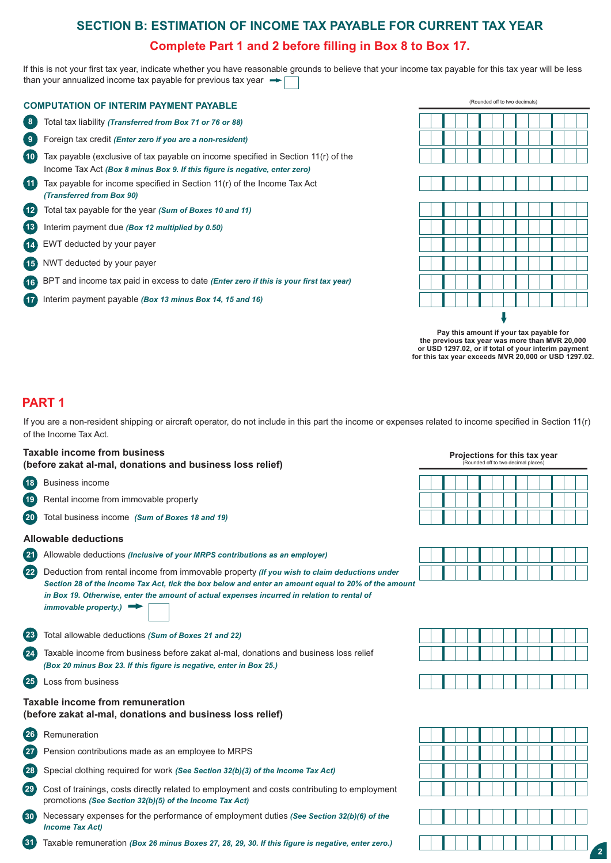## **SECTION B: ESTIMATION OF INCOME TAX PAYABLE FOR CURRENT TAX YEAR Complete Part 1 and 2 before filling in Box 8 to Box 17.**

If this is not your first tax year, indicate whether you have reasonable grounds to believe that your income tax payable for this tax year will be less than your annualized income tax payable for previous tax year  $\rightarrow$ 

|                 | <b>COMPUTATION OF INTERIM PAYMENT PAYABLE</b>                                                                                                                   |
|-----------------|-----------------------------------------------------------------------------------------------------------------------------------------------------------------|
| 8               | Total tax liability (Transferred from Box 71 or 76 or 88)                                                                                                       |
| 9               | Foreign tax credit (Enter zero if you are a non-resident)                                                                                                       |
| 10 <sup>1</sup> | Tax payable (exclusive of tax payable on income specified in Section 11(r) of the<br>Income Tax Act (Box 8 minus Box 9. If this figure is negative, enter zero) |
| $\overline{11}$ | Tax payable for income specified in Section $11(r)$ of the Income Tax Act<br>(Transferred from Box 90)                                                          |
| $\overline{12}$ | Total tax payable for the year (Sum of Boxes 10 and 11)                                                                                                         |
| 13              | Interim payment due (Box 12 multiplied by 0.50)                                                                                                                 |
| $\overline{14}$ | EWT deducted by your payer                                                                                                                                      |
| 15              | NWT deducted by your payer                                                                                                                                      |
| (16)            | BPT and income tax paid in excess to date (Enter zero if this is your first tax year)                                                                           |
| $\overline{17}$ | Interim payment payable (Box 13 minus Box 14, 15 and 16)                                                                                                        |
|                 |                                                                                                                                                                 |



**2 the previous tax year was more than MVR 20,000 or USD 1297.02, or if total of your interim payment for this tax year exceeds MVR 20,000 or USD 1297.02.Pay this amount if your tax payable for** 

## **PART 1**

If you are a non-resident shipping or aircraft operator, do not include in this part the income or expenses related to income specified in Section 11(r) of the Income Tax Act.

| <b>Taxable income from business</b><br>(before zakat al-mal, donations and business loss relief)                                                                  | Projections for this tax year<br>(Rounded off to two decimal places) |
|-------------------------------------------------------------------------------------------------------------------------------------------------------------------|----------------------------------------------------------------------|
| <b>Business income</b><br>18                                                                                                                                      |                                                                      |
| Rental income from immovable property                                                                                                                             |                                                                      |
| Total business income (Sum of Boxes 18 and 19)                                                                                                                    |                                                                      |
| <b>Allowable deductions</b>                                                                                                                                       |                                                                      |
| (21)<br>Allowable deductions (Inclusive of your MRPS contributions as an employer)                                                                                |                                                                      |
| Deduction from rental income from immovable property (If you wish to claim deductions under<br>22                                                                 |                                                                      |
| in Box 19. Otherwise, enter the amount of actual expenses incurred in relation to rental of<br>immovable property.)                                               |                                                                      |
| Total allowable deductions (Sum of Boxes 21 and 22)<br>23                                                                                                         |                                                                      |
| Taxable income from business before zakat al-mal, donations and business loss relief<br>24<br>(Box 20 minus Box 23. If this figure is negative, enter in Box 25.) |                                                                      |
| 25<br>Loss from business                                                                                                                                          |                                                                      |
| Taxable income from remuneration<br>(before zakat al-mal, donations and business loss relief)                                                                     |                                                                      |
| Remuneration<br>26                                                                                                                                                |                                                                      |
| Pension contributions made as an employee to MRPS                                                                                                                 |                                                                      |
| Special clothing required for work (See Section 32(b)(3) of the Income Tax Act)                                                                                   |                                                                      |
| ່າດ່<br>Cast of trainings, anote directly related to create monet and social contribution to create monet                                                         |                                                                      |

**29** Cost of trainings, costs directly related to employment and costs contributing to employment promotions *(See Section 32(b)(5) of the Income Tax Act)*

**30** Necessary expenses for the performance of employment duties *(See Section 32(b)(6) of the Income Tax Act)*

**31** Taxable remuneration *(Box 26 minus Boxes 27, 28, 29, 30. If this figure is negative, enter zero.)*





**2**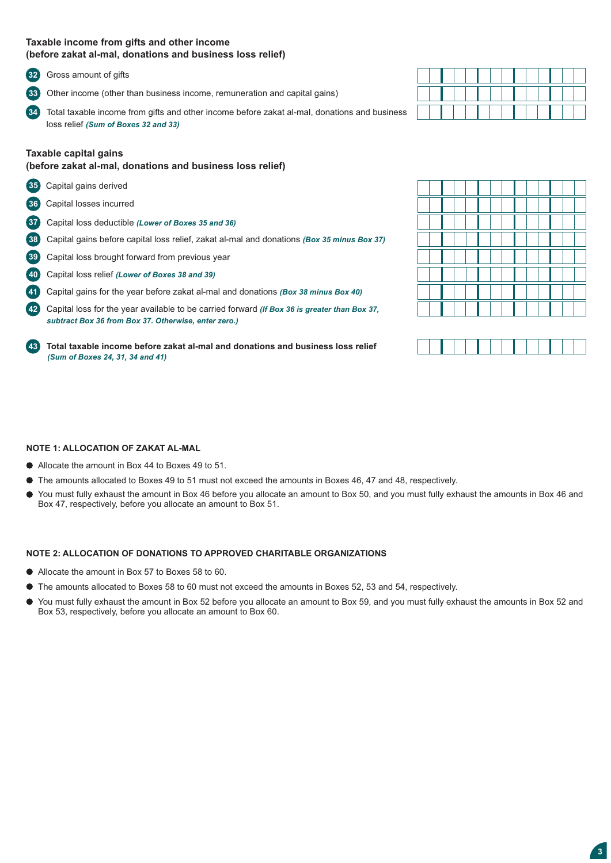#### **Taxable income from gifts and other income (before zakat al-mal, donations and business loss relief)**

**32** Gross amount of gifts

**33** Other income (other than business income, remuneration and capital gains)

**342** Total taxable income from gifts and other income before zakat al-mal, donations and business loss relief *(Sum of Boxes 32 and 33)* 

#### **Taxable capital gains**

#### **(before zakat al-mal, donations and business loss relief)**

- **35** Capital gains derived
- **36** Capital losses incurred
- **372** Capital loss deductible *(Lower of Boxes 35 and 36)*
- **382** Capital gains before capital loss relief, zakat al-mal and donations *(Box 35 minus Box 37)*
- **39** Capital loss brought forward from previous year
- **402** Capital loss relief *(Lower of Boxes 38 and 39)*
- **412** Capital gains for the year before zakat al-mal and donations *(Box 38 minus Box 40)*

**422** Capital loss for the year available to be carried forward *(If Box 36 is greater than Box 37, subtract Box 36 from Box 37. Otherwise, enter zero.)*

**432 Total taxable income before zakat al-mal and donations and business loss relief** *(Sum of Boxes 24, 31, 34 and 41)* 



#### **NOTE 1: ALLOCATION OF ZAKAT AL-MAL**

- Allocate the amount in Box 44 to Boxes 49 to 51.
- The amounts allocated to Boxes 49 to 51 must not exceed the amounts in Boxes 46, 47 and 48, respectively.
- You must fully exhaust the amount in Box 46 before you allocate an amount to Box 50, and you must fully exhaust the amounts in Box 46 and Box 47, respectively, before you allocate an amount to Box 51.

#### **NOTE 2: ALLOCATION OF DONATIONS TO APPROVED CHARITABLE ORGANIZATIONS**

- Allocate the amount in Box 57 to Boxes 58 to 60.
- The amounts allocated to Boxes 58 to 60 must not exceed the amounts in Boxes 52, 53 and 54, respectively.
- You must fully exhaust the amount in Box 52 before you allocate an amount to Box 59, and you must fully exhaust the amounts in Box 52 and Box 53, respectively, before you allocate an amount to Box 60.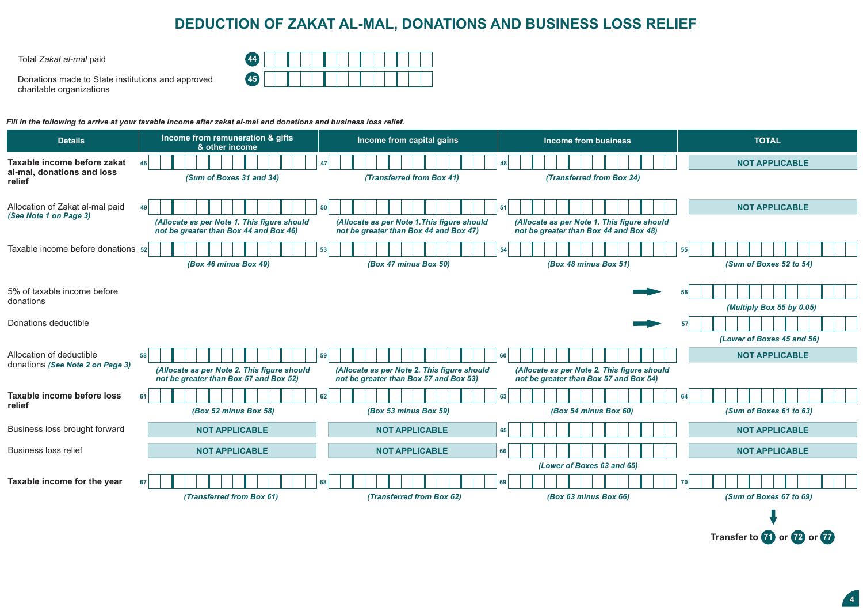## **DEDUCTION OF ZAKAT AL-MAL, DONATIONS AND BUSINESS LOSS RELIEF**

Total *Zakat al-mal* paid **44**

Donations made to State institutions and approved charitable organizations

| $\overline{A}$<br>æт, |  |  |  |  |  |  |  |
|-----------------------|--|--|--|--|--|--|--|
| AE<br>77.             |  |  |  |  |  |  |  |

*Fill in the following to arrive at your taxable income after zakat al-mal and donations and business loss relief.*

| <b>Details</b>                                                      | Income from remuneration & gifts<br>& other income                                          | Income from capital gains                                                                   | <b>Income from business</b>                                                                 | <b>TOTAL</b>                  |
|---------------------------------------------------------------------|---------------------------------------------------------------------------------------------|---------------------------------------------------------------------------------------------|---------------------------------------------------------------------------------------------|-------------------------------|
| Taxable income before zakat<br>al-mal, donations and loss<br>relief | 46 <sup>1</sup><br>(Sum of Boxes 31 and 34)                                                 | 47<br>(Transferred from Box 41)                                                             | 48  <br>(Transferred from Box 24)                                                           | <b>NOT APPLICABLE</b>         |
| Allocation of Zakat al-mal paid<br>(See Note 1 on Page 3)           | (Allocate as per Note 1. This figure should<br>not be greater than Box 44 and Box 46)       | 50<br>(Allocate as per Note 1. This figure should<br>not be greater than Box 44 and Box 47) | 51<br>(Allocate as per Note 1. This figure should<br>not be greater than Box 44 and Box 48) | <b>NOT APPLICABLE</b>         |
| Taxable income before donations 52                                  | (Box 46 minus Box 49)                                                                       | 53<br>(Box 47 minus Box 50)                                                                 | 54<br>(Box 48 minus Box 51)                                                                 | 55<br>(Sum of Boxes 52 to 54) |
| 5% of taxable income before<br>donations                            |                                                                                             |                                                                                             |                                                                                             | (Multiply Box 55 by 0.05)     |
| Donations deductible                                                |                                                                                             |                                                                                             |                                                                                             | (Lower of Boxes 45 and 56)    |
| Allocation of deductible<br>donations (See Note 2 on Page 3)        | 58<br>(Allocate as per Note 2. This figure should<br>not be greater than Box 57 and Box 52) | 59<br>(Allocate as per Note 2. This figure should<br>not be greater than Box 57 and Box 53) | 60<br>(Allocate as per Note 2. This figure should<br>not be greater than Box 57 and Box 54) | <b>NOT APPLICABLE</b>         |
| Taxable income before loss<br>relief                                | 61<br>(Box 52 minus Box 58)                                                                 | 62<br>(Box 53 minus Box 59)                                                                 | 63<br>(Box 54 minus Box 60)                                                                 | 64<br>(Sum of Boxes 61 to 63) |
| Business loss brought forward                                       | <b>NOT APPLICABLE</b>                                                                       | <b>NOT APPLICABLE</b>                                                                       | 65                                                                                          | <b>NOT APPLICABLE</b>         |
| <b>Business loss relief</b>                                         | <b>NOT APPLICABLE</b>                                                                       | <b>NOT APPLICABLE</b>                                                                       | 66                                                                                          | <b>NOT APPLICABLE</b>         |
| Taxable income for the year                                         | 67<br>(Transferred from Box 61)                                                             | 68<br>(Transferred from Box 62)                                                             | (Lower of Boxes 63 and 65)<br>69<br>(Box 63 minus Box 66)                                   | 70<br>(Sum of Boxes 67 to 69) |
|                                                                     |                                                                                             |                                                                                             |                                                                                             |                               |

**Transfer to <b>71** or **72** or **772** 

**4**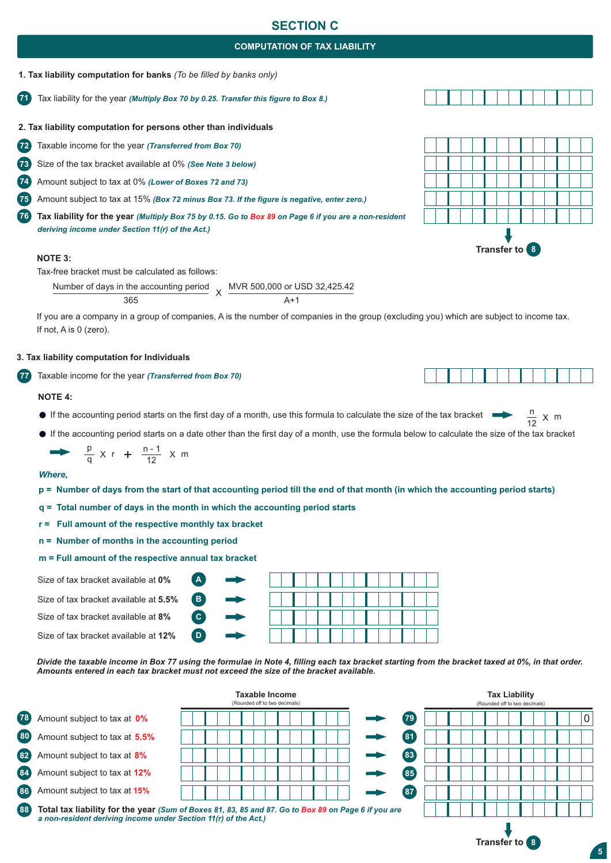## **SECTION C**

### **COMPUTATION OF TAX LIABILITY**

### **1. Tax liability computation for banks** *(To be filled by banks only)*

**71** Tax liability for the year *(Multiply Box 70 by 0.25. Transfer this figure to Box 8.)*

### **2. Tax liability computation for persons other than individuals**

- **72** Taxable income for the year *(Transferred from Box 70)*
- **73** Size of the tax bracket available at 0% *(See Note 3 below)*
- **74** Amount subject to tax at 0% *(Lower of Boxes 72 and 73)*

**75** Amount subject to tax at 15% *(Box 72 minus Box 73. If the figure is negative, enter zero.)*

**76 Tax liability for the year** *(Multiply Box 75 by 0.15. Go to Box 89 on Page 6 if you are a non-resident deriving income under Section 11(r) of the Act.)*

#### **NOTE 3:**

Tax-free bracket must be calculated as follows:

Number of days in the accounting period 365  $\vee$ MVR 500,000 or USD 32,425.42  $\Delta+1$ 

If you are a company in a group of companies, A is the number of companies in the group (excluding you) which are subject to income tax. If not, A is 0 (zero).

#### **3. Tax liability computation for Individuals**

**772** Taxable income for the year *(Transferred from Box 70)*

#### **NOTE 4:**

- If the accounting period starts on the first day of a month, use this formula to calculate the size of the tax bracket  $\frac{n}{12}$
- If the accounting period starts on a date other than the first day of a month, use the formula below to calculate the size of the tax bracket

$$
\rightarrow \frac{p}{q} \times r + \frac{n-1}{12} \times m
$$

#### *Where,*

- **p = Number of days from the start of that accounting period till the end of that month (in which the accounting period starts)**
- **q = Total number of days in the month in which the accounting period starts**

**B2 C2**

**D2**

**A2**

- **r = Full amount of the respective monthly tax bracket**
- **n = Number of months in the accounting period**
- **m = Full amount of the respective annual tax bracket**
- Size of tax bracket available at **0%**
- Size of tax bracket available at **5.5%**

Size of tax bracket available at **8%**

Size of tax bracket available at **12%**

|   | . |  |  |  |  |  |
|---|---|--|--|--|--|--|
| . |   |  |  |  |  |  |
| . |   |  |  |  |  |  |
|   |   |  |  |  |  |  |

*Divide the taxable income in Box 77 using the formulae in Note 4, filling each tax bracket starting from the bracket taxed at 0%, in that order. Amounts entered in each tax bracket must not exceed the size of the bracket available.*